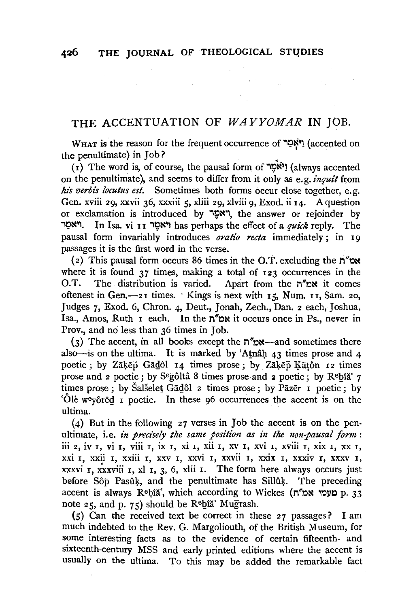$\label{eq:2.1} \begin{split} \mathcal{L}_{\mathcal{A}}&=\mathcal{H}_{\mathcal{A}}\left(\mathcal{L}_{\mathcal{A}}\right) \otimes \mathcal{L}_{\mathcal{A}}\left(\mathcal{L}_{\mathcal{A}}\right) \otimes \mathcal{L}_{\mathcal{A}}\left(\mathcal{L}_{\mathcal{A}}\right) \otimes \mathcal{L}_{\mathcal{A}}\left(\mathcal{L}_{\mathcal{A}}\right) \otimes \mathcal{L}_{\mathcal{A}}\left(\mathcal{L}_{\mathcal{A}}\right) \otimes \mathcal{L}_{\mathcal{A}}\left(\mathcal{L}_{\mathcal{A}}\right) \otimes \$ 

## THE ACCENTUATION OF *WAYYOMAR* IN JOB.

 $W_{\text{HAT}}$  is the reason for the frequent occurrence of  $\gamma$ יאָמַר (accented on the penultimate) in Job? <sup>&</sup>lt;

 $(1)$  The word is, of course, the pausal form of  $\mathbb{R}^N$  (always accented on the penultimate), and seems to differ from it only as e.g. *inquit* from *his verbis locutus est.* Sometimes both forms occur close together, e.g. Gen. xviii 29, xxvii 36, xxxiii 5, xliii 29, xlviii 9, Exod. ii I4. A question or exclamation is introduced by יאמָר, the answer or rejoinder by il;l~ '. In Isa. vi r I i~~~l has perhaps the effect of a *quz"ck* reply. The pausal form invariably introduces *oratio recta* immediately; in I9 passages it is the first word in the verse.

(2) This pausal form occurs 86 times in the O.T. excluding the  $n''$ where it is found  $37$  times, making a total of  $123$  occurrences in the O.T. The distribution is varied. Apart from the  $n''px$  it comes oftenest in Gen. $-2i$  times. Kings is next with  $15$ , Num.  $11$ , Sam. 20, Judges 7, Exod. 6, Chron. 4, Deut., Jonah, Zech., Dan. 2 each, Joshua, Isa., Amos, Ruth I each. In the  $n''$ <sub>N</sub> it occurs once in Ps., never in Prov., and no less than 36 times in Job.

(3) The accent, in all books except the  $n''px$ —and sometimes there also-is on the ultima. It is marked by 'Atnâh  $43$  times prose and  $4$ poetic; by Zāķēp Gādôl 14 times prose; by Zāķēp Kātôn 12 times prose and 2 poetic; by S<sup>e</sup>gôltâ 8 times prose and 2 poetic; by R<sup>e</sup>bîă' 7 times prose; by Salselet Gadôl 2 times prose; by Pazer I poetic; by 'Ole we yored I poetic. In these 96 occurrences the accent is on the ultima.

(4) But in the following 27 verses in Job the accent is on the penultimate, i.e. *in precisely the same position as in the non-pausal form*: iii 2, iv I, vi I, viii I, ix I, xi I, xii I, xv I, xvi I, xviii  $\overline{1}$ , xix I, xx I, xxi I, xxii I, xxiii r, xxv I, xxvi I, xxvii I, xxix r, xxxiv r, xxxv I, xxxvi  $\bar{x}$ , xxxviii  $\bar{x}$ , xl  $\bar{x}$ ,  $\bar{x}$ ,  $\bar{x}$ ,  $\bar{x}$ ,  $\bar{x}$ ,  $\bar{x}$ ,  $\bar{x}$ ,  $\bar{x}$ ,  $\bar{x}$ ,  $\bar{x}$ ,  $\bar{x}$ ,  $\bar{x}$ ,  $\bar{x}$ ,  $\bar{x}$ ,  $\bar{x}$ ,  $\bar{x}$ ,  $\bar{x}$ ,  $\bar{x}$ ,  $\bar{x}$ ,  $\bar{x}$ ,  $\bar{x}$ ,  $\bar{x}$ ,  $\bar{x}$ ,  $\bar{x$ before Sôp Pasûk, and the penultimate has Sillûk. The preceding accent is always Rebia', which according to Wickes (ח מעמי אמ"ח p. 33 note 25, and p. 75) should be  $\mathbb{R}^6$ hia<sup>\*</sup> Mugrash.

 $(5)$  Can the received text be correct in these 27 passages? I am much indebted to the Rev. G. Margoliouth, of the British Museum, for some interesting facts as to the evidence of certain fifteenth- and sixteenth-century MSS and early printed editions where the accent is usually on the ultima. To this may be added the remarkable fact